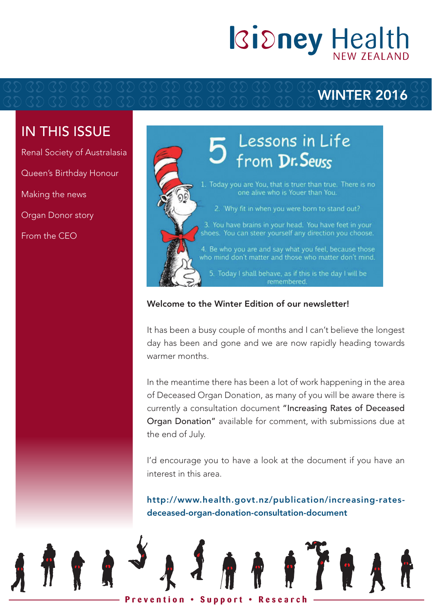# **Kidney Health**

### WINTER 2016

### IN THIS ISSUE

Renal Society of Australasia Queen's Birthday Honour Making the news Organ Donor story From the CEO



#### Welcome to the Winter Edition of our newsletter!

It has been a busy couple of months and I can't believe the longest day has been and gone and we are now rapidly heading towards warmer months.

In the meantime there has been a lot of work happening in the area of Deceased Organ Donation, as many of you will be aware there is currently a consultation document "Increasing Rates of Deceased Organ Donation" available for comment, with submissions due at the end of July.

I'd encourage you to have a look at the document if you have an interest in this area.

http://www.health.govt.nz/publication/increasing-ratesdeceased-organ-donation-consultation-document

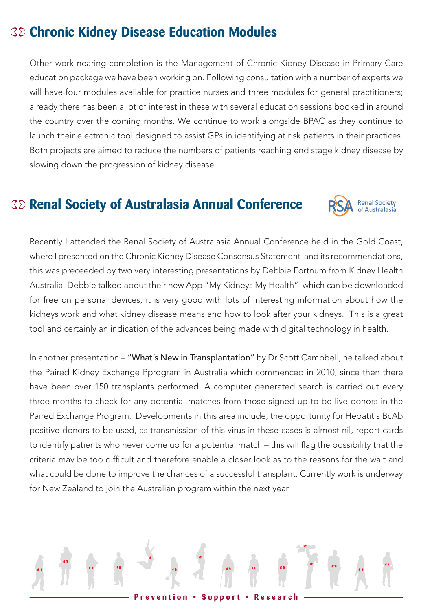### **Chronic Kidney Disease Education Modules**

Other work nearing completion is the Management of Chronic Kidney Disease in Primary Care education package we have been working on. Following consultation with a number of experts we will have four modules available for practice nurses and three modules for general practitioners; already there has been a lot of interest in these with several education sessions booked in around the country over the coming months. We continue to work alongside BPAC as they continue to launch their electronic tool designed to assist GPs in identifying at risk patients in their practices. Both projects are aimed to reduce the numbers of patients reaching end stage kidney disease by slowing down the progression of kidney disease.

### **Renal Society of Australasia Annual Conference**



Recently I attended the Renal Society of Australasia Annual Conference held in the Gold Coast, where I presented on the Chronic Kidney Disease Consensus Statement and its recommendations, this was preceeded by two very interesting presentations by Debbie Fortnum from Kidney Health Australia. Debbie talked about their new App "My Kidneys My Health" which can be downloaded for free on personal devices, it is very good with lots of interesting information about how the kidneys work and what kidney disease means and how to look after your kidneys. This is a great tool and certainly an indication of the advances being made with digital technology in health.

In another presentation - "What's New in Transplantation" by Dr Scott Campbell, he talked about the Paired Kidney Exchange Pprogram in Australia which commenced in 2010, since then there have been over 150 transplants performed. A computer generated search is carried out every three months to check for any potential matches from those signed up to be live donors in the Paired Exchange Program. Developments in this area include, the opportunity for Hepatitis BcAb positive donors to be used, as transmission of this virus in these cases is almost nil, report cards to identify patients who never come up for a potential match – this will flag the possibility that the criteria may be too difficult and therefore enable a closer look as to the reasons for the wait and what could be done to improve the chances of a successful transplant. Currently work is underway for New Zealand to join the Australian program within the next year.

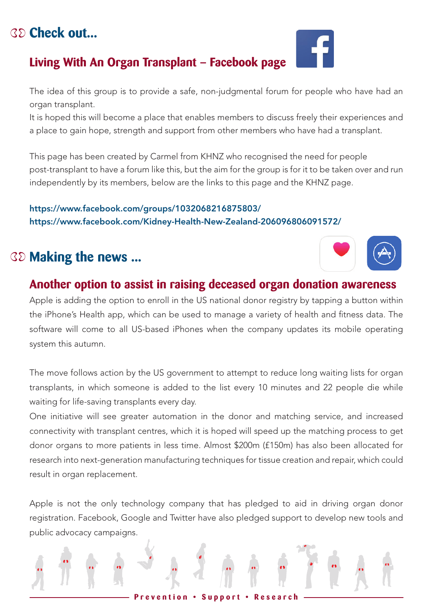### a place to gain hope, strength and support from other members who have had a transplant.

**Living With An Organ Transplant – Facebook page**

This page has been created by Carmel from KHNZ who recognised the need for people post-transplant to have a forum like this, but the aim for the group is for it to be taken over and run independently by its members, below are the links to this page and the KHNZ page.  $\mathbf{e}$ 

It is hoped this will become a place that enables members to discuss freely their experiences and

#### https://www.facebook.com/groups/1032068216875803/ https://www.facebook.com/Kidney-Health-New-Zealand-206096806091572/

### **Making the news ...**

organ transplant.

#### **Another option to assist in raising deceased organ donation awareness Pricess**

Apple is adding the option to enroll in the US national donor registry by tapping a button within the iPhone's Health app, which can be used to manage a variety of health and fitness data. The software will come to all US-based iPhones when the company updates its mobile operating system this autumn.

The move follows action by the US government to attempt to reduce long waiting lists for organ transplants, in which someone is added to the list every 10 minutes and 22 people die while waiting for life-saving transplants every day.

One initiative will see greater automation in the donor and matching service, and increased connectivity with transplant centres, which it is hoped will speed up the matching process to get donor organs to more patients in less time. Almost \$200m (£150m) has also been allocated for research into next-generation manufacturing techniques for tissue creation and repair, which could result in organ replacement. which is the someone of  $\mathbf{r}$  $n_{\text{U}}$  eased hich could  $\frac{1}{2}$  is the connectivity of  $\frac{1}{2}$  is the connectivity of  $\frac{1}{2}$ 

Apple is not the only technology company that has pledged to aid in driving organ donor registration. Facebook, Google and Twitter have also pledged support to develop new tools and public advocacy campaigns.

## **Check out...**







ve had an

 $\frac{1}{1}$   $\frac{1}{2}$ 

 $\frac{1}{2}$  in  $\frac{1}{2}$  in  $\frac{1}{2}$  in  $\frac{1}{2}$ 

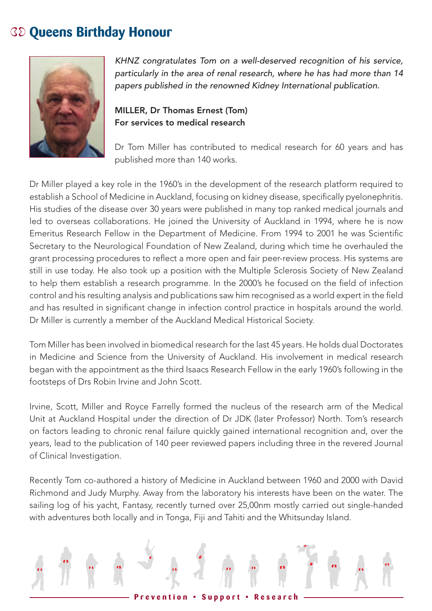#### **Queens Birthday Honour C**



KHNZ congratulates Tom on a well-deserved recognition of his service, particularly in the area of renal research, where he has had more than 14<br> **particularly** in the area of renal research, where he has had more than 14 papers published in the renowned Kidney International publication.<br>

### MILLER, Dr Thomas Ernest (Tom) For services to medical research

Dr Tom Miller has contributed to medical research for 60 years and has published more than 140 works.

control and his resulting analysis and publications saw him recognised as a world expert in the field Dr Miller played a key role in the 1960's in the development of the research platform required to establish a School of Medicine in Auckland, focusing on kidney disease, specifically pyelonephritis. His studies of the disease over 30 years were published in many top ranked medical journals and led to overseas collaborations. He joined the University of Auckland in 1994, where he is now Emeritus Research Fellow in the Department of Medicine. From 1994 to 2001 he was Scientific Secretary to the Neurological Foundation of New Zealand, during which time he overhauled the grant processing procedures to reflect a more open and fair peer-review process. His systems are on<br>still in use today. He also took up a position with the Multiple Sclerosis Society of New Zealand to help them establish a research programme. In the 2000's he focused on the field of infection and has resulted in significant change in infection control practice in hospitals around the world. are necessities in eignmeant energe in incessen centre, precise in neepter.<br>Dr Miller is currently a member of the Auckland Medical Historical Society. Bet minor to carrottery a mombor of the Attachanta modical incloned, occiony.

Tom Miller has been involved in biomedical research for the last 45 years. He holds dual Doctorates in Medicine and Science from the University of Auckland. His involvement in medical research began with the appointment as the third Isaacs Research Fellow in the early 1960's following in the footsteps of Drs Robin Irvine and John Scott.

Irvine, Scott, Miller and Royce Farrelly formed the nucleus of the research arm of the Medical Unit at Auckland Hospital under the direction of Dr JDK (later Professor) North. Tom's research on factors leading to chronic renal failure quickly gained international recognition and, over the years, lead to the publication of 140 peer reviewed papers including three in the revered Journal of Clinical Investigation.

Recently Tom co-authored a history of Medicine in Auckland between 1960 and 2000 with David Richmond and Judy Murphy. Away from the laboratory his interests have been on the water. The sailing log of his yacht, Fantasy, recently turned over 25,00nm mostly carried out single-handed with adventures both locally and in Tonga, Fiji and Tahiti and the Whitsunday Island.

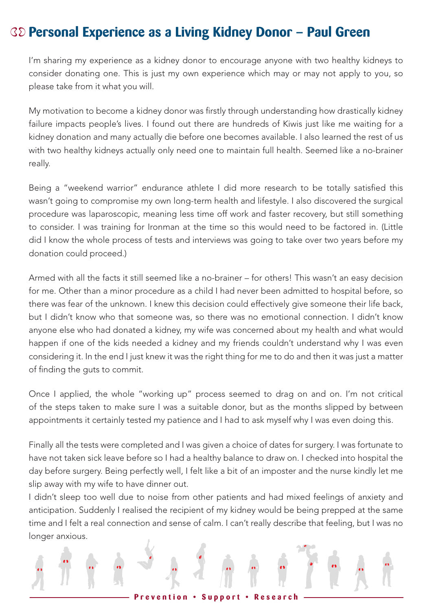### **Personal Experience as a Living Kidney Donor – Paul Green**

I'm sharing my experience as a kidney donor to encourage anyone with two healthy kidneys to consider donating one. This is just my own experience which may or may not apply to you, so please take from it what you will.

My motivation to become a kidney donor was firstly through understanding how drastically kidney failure impacts people's lives. I found out there are hundreds of Kiwis just like me waiting for a kidney donation and many actually die before one becomes available. I also learned the rest of us with two healthy kidneys actually only need one to maintain full health. Seemed like a no-brainer really.

Being a "weekend warrior" endurance athlete I did more research to be totally satisfied this wasn't going to compromise my own long-term health and lifestyle. I also discovered the surgical procedure was laparoscopic, meaning less time off work and faster recovery, but still something to consider. I was training for Ironman at the time so this would need to be factored in. (Little did I know the whole process of tests and interviews was going to take over two years before my donation could proceed.)

Armed with all the facts it still seemed like a no-brainer – for others! This wasn't an easy decision for me. Other than a minor procedure as a child I had never been admitted to hospital before, so there was fear of the unknown. I knew this decision could effectively give someone their life back, but I didn't know who that someone was, so there was no emotional connection. I didn't know anyone else who had donated a kidney, my wife was concerned about my health and what would happen if one of the kids needed a kidney and my friends couldn't understand why I was even considering it. In the end I just knew it was the right thing for me to do and then it was just a matter of finding the guts to commit.

Once I applied, the whole "working up" process seemed to drag on and on. I'm not critical of the steps taken to make sure I was a suitable donor, but as the months slipped by between appointments it certainly tested my patience and I had to ask myself why I was even doing this.

Finally all the tests were completed and I was given a choice of dates for surgery. I was fortunate to have not taken sick leave before so I had a healthy balance to draw on. I checked into hospital the day before surgery. Being perfectly well, I felt like a bit of an imposter and the nurse kindly let me slip away with my wife to have dinner out.

I didn't sleep too well due to noise from other patients and had mixed feelings of anxiety and anticipation. Suddenly I realised the recipient of my kidney would be being prepped at the same time and I felt a real connection and sense of calm. I can't really describe that feeling, but I was no longer anxious.

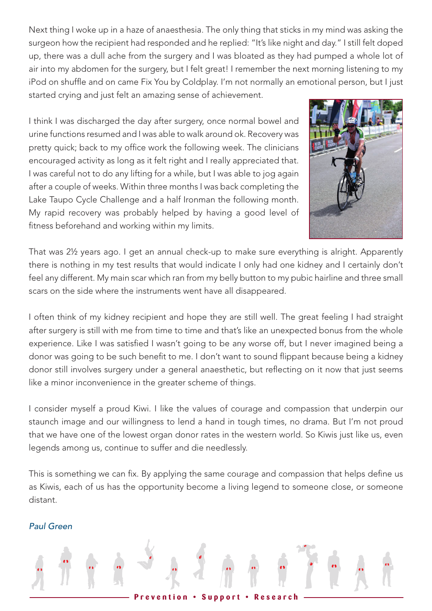Next thing I woke up in a haze of anaesthesia. The only thing that sticks in my mind was asking the  $\begin{array}{c} \mathcal{S} \ \mathcal{S} \end{array}$  is till felt doped that responded and he replied: "It's like night and day." I still felt doped up, there was a dull ache from the surgery and I was bloated as they had pumped a whole lot of air into my abdomen for the surgery, but I felt great! I remember the next morning listening to my iPod on shuffle and on came Fix You by Coldplay. I'm not normally an emotional person, but I just started crying and just felt an amazing sense of achievement. This is a fixed of the same of the same of the same of the same of the same of the same of the same of the same of the same of the same of the same of the same of the same of the same of the same of the same of the same o

I think I was discharged the day after surgery, once normal bowel and urine functions resumed and I was able to walk around ok. Recovery was pretty quick; back to my office work the following week. The clinicians encouraged activity as long as it felt right and I really appreciated that. I was careful not to do any lifting for a while, but I was able to jog again after a couple of weeks. Within three months I was back completing the Lake Taupo Cycle Challenge and a half Ironman the following month. My rapid recovery was probably helped by having a good level of fitness beforehand and working within my limits.



 $\mathbf{r}$ 

 $\mathcal{B}$  diaverum.

for the  $f(x)$  dialysis  $f(x)$ 

 $\frac{1}{2}$  is the speed of  $\frac{1}{2}$ 

That was 2½ years ago. I get an annual check-up to make sure everything is alright. Apparently there is nothing in my test results that would indicate I only had one kidney and I certainly don't feel any different. My main scar which ran from my belly button to my pubic hairline and three small scars on the side where the instruments went have all disappeared.

I often think of my kidney recipient and hope they are still well. The great feeling I had straight after surgery is still with me from time to time and that's like an unexpected bonus from the whole experience. Like I was satisfied I wasn't going to be any worse off, but I never imagined being a donor was going to be such benefit to me. I don't want to sound flippant because being a kidney donor still involves surgery under a general anaesthetic, but reflecting on it now that just seems<br>donor still involves surgery under a general anaesthetic, but reflecting on it now that just seems like a minor inconvenience in the greater scheme of things.

I consider myself a proud Kiwi. I like the values of courage and compassion that underpin our staunch image and our willingness to lend a hand in tough times, no drama. But I'm not proud<br>. that we have one of the lowest organ donor rates in the western world. So Kiwis just like us, even legends among us, continue to suffer and die needlessly.  $\sigma$  kims just like us, even

This is something we can fix. By applying the same courage and compassion that helps define us  $\mu$ as Kiwis, each of us has the opportunity become a living legend to someone close, or someone distant.

#### *Paul Green*

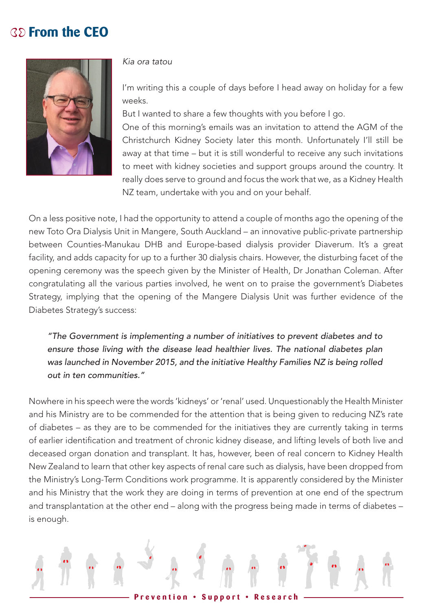### **From the CEO**



*Kia ora tatou*

I'm writing this a couple of days before I head away on holiday for a few weeks.

But I wanted to share a few thoughts with you before I go. One of this morning's emails was an invitation to attend the AGM of the Christchurch Kidney Society later this month. Unfortunately I'll still be away at that time – but it is still wonderful to receive any such invitations to meet with kidney societies and support groups around the country. It really does serve to ground and focus the work that we, as a Kidney Health NZ team, undertake with you and on your behalf.

On a less positive note, I had the opportunity to attend a couple of months ago the opening of the new Toto Ora Dialysis Unit in Mangere, South Auckland – an innovative public-private partnership between Counties-Manukau DHB and Europe-based dialysis provider Diaverum. It's a great facility, and adds capacity for up to a further 30 dialysis chairs. However, the disturbing facet of the opening ceremony was the speech given by the Minister of Health, Dr Jonathan Coleman. After congratulating all the various parties involved, he went on to praise the government's Diabetes Strategy, implying that the opening of the Mangere Dialysis Unit was further evidence of the Diabetes Strategy's success:

*"The Government is implementing a number of initiatives to prevent diabetes and to ensure those living with the disease lead healthier lives. The national diabetes plan was launched in November 2015, and the initiative Healthy Families NZ is being rolled out in ten communities."*

Nowhere in his speech were the words 'kidneys' or 'renal' used. Unquestionably the Health Minister and his Ministry are to be commended for the attention that is being given to reducing NZ's rate of diabetes – as they are to be commended for the initiatives they are currently taking in terms of earlier identification and treatment of chronic kidney disease, and lifting levels of both live and deceased organ donation and transplant. It has, however, been of real concern to Kidney Health New Zealand to learn that other key aspects of renal care such as dialysis, have been dropped from the Ministry's Long-Term Conditions work programme. It is apparently considered by the Minister and his Ministry that the work they are doing in terms of prevention at one end of the spectrum and transplantation at the other end – along with the progress being made in terms of diabetes – is enough.